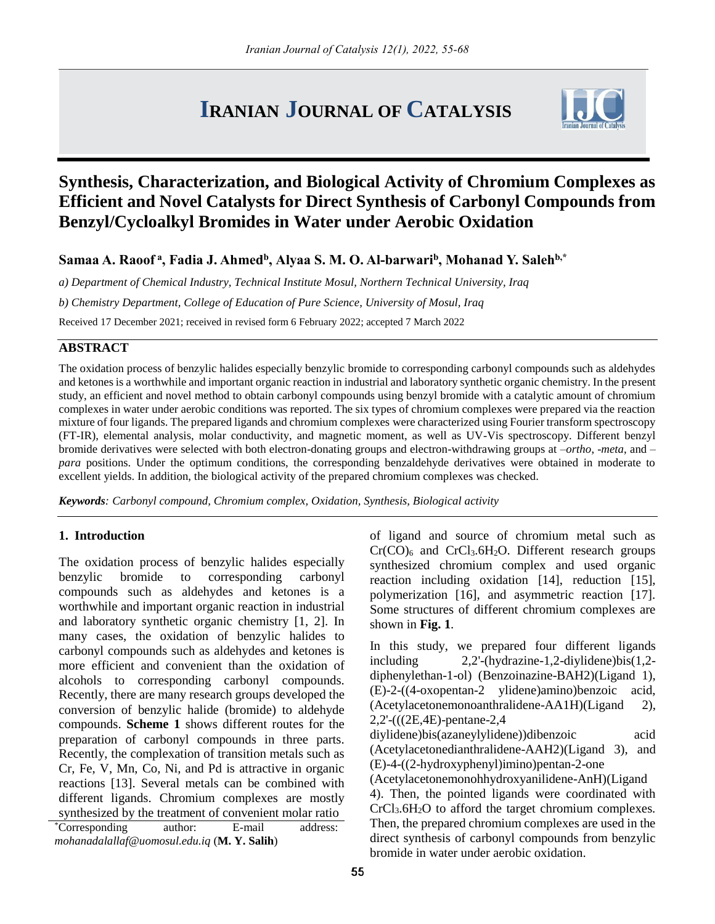# **IRANIAN JOURNAL OF CATALYSIS**



# **Synthesis, Characterization, and Biological Activity of Chromium Complexes as Efficient and Novel Catalysts for Direct Synthesis of Carbonyl Compounds from Benzyl/Cycloalkyl Bromides in Water under Aerobic Oxidation**

**Samaa A. Raoof <sup>a</sup> , Fadia J. Ahmed<sup>b</sup> , Alyaa S. M. O. Al-barwari<sup>b</sup> , Mohanad Y. Saleh b,\***

*a) Department of Chemical Industry, Technical Institute Mosul, Northern Technical University, Iraq b) Chemistry Department, College of Education of Pure Science, University of Mosul, Iraq* Received 17 December 2021; received in revised form 6 February 2022; accepted 7 March 2022

# **ABSTRACT**

The oxidation process of benzylic halides especially benzylic bromide to corresponding carbonyl compounds such as aldehydes and ketones is a worthwhile and important organic reaction in industrial and laboratory synthetic organic chemistry. In the present study, an efficient and novel method to obtain carbonyl compounds using benzyl bromide with a catalytic amount of chromium complexes in water under aerobic conditions was reported. The six types of chromium complexes were prepared via the reaction mixture of four ligands. The prepared ligands and chromium complexes were characterized using Fourier transform spectroscopy (FT-IR), elemental analysis, molar conductivity, and magnetic moment, as well as UV-Vis spectroscopy. Different benzyl bromide derivatives were selected with both electron-donating groups and electron-withdrawing groups at –*ortho*, -*meta*, and – *para* positions. Under the optimum conditions, the corresponding benzaldehyde derivatives were obtained in moderate to excellent yields. In addition, the biological activity of the prepared chromium complexes was checked.

*Keywords: Carbonyl compound, Chromium complex, Oxidation, Synthesis, Biological activity*

## **1. Introduction**

The oxidation process of benzylic halides especially benzylic bromide to corresponding carbonyl compounds such as aldehydes and ketones is a worthwhile and important organic reaction in industrial and laboratory synthetic organic chemistry [1, 2]. In many cases, the oxidation of benzylic halides to carbonyl compounds such as aldehydes and ketones is more efficient and convenient than the oxidation of alcohols to corresponding carbonyl compounds. Recently, there are many research groups developed the conversion of benzylic halide (bromide) to aldehyde compounds. **Scheme 1** shows different routes for the preparation of carbonyl compounds in three parts. Recently, the complexation of transition metals such as Cr, Fe, V, Mn, Co, Ni, and Pd is attractive in organic reactions [13]. Several metals can be combined with different ligands. Chromium complexes are mostly synthesized by the treatment of convenient molar ratio

of ligand and source of chromium metal such as  $Cr(CO)<sub>6</sub>$  and  $CrCl<sub>3</sub>.6H<sub>2</sub>O$ . Different research groups synthesized chromium complex and used organic reaction including oxidation [14], reduction [15], polymerization [16], and asymmetric reaction [17]. Some structures of different chromium complexes are shown in **Fig. 1**.

In this study, we prepared four different ligands including 2,2'-(hydrazine-1,2-diylidene)bis(1,2 diphenylethan-1-ol) (Benzoinazine-BAH2)(Ligand 1), (E)-2-((4-oxopentan-2 ylidene)amino)benzoic acid, (Acetylacetonemonoanthralidene-AA1H)(Ligand 2), 2,2'-(((2E,4E)-pentane-2,4 diylidene)bis(azaneylylidene))dibenzoic acid (Acetylacetonedianthralidene-AAH2)(Ligand 3), and (E)-4-((2-hydroxyphenyl)imino)pentan-2-one (Acetylacetonemonohhydroxyanilidene-AnH)(Ligand 4). Then, the pointed ligands were coordinated with  $CrCl<sub>3</sub>.6H<sub>2</sub>O$  to afford the target chromium complexes. Then, the prepared chromium complexes are used in the direct synthesis of carbonyl compounds from benzylic bromide in water under aerobic oxidation.

<sup>\*</sup>Corresponding author: E-mail address: *mohanadalallaf@uomosul.edu.iq* (**M. Y. Salih**)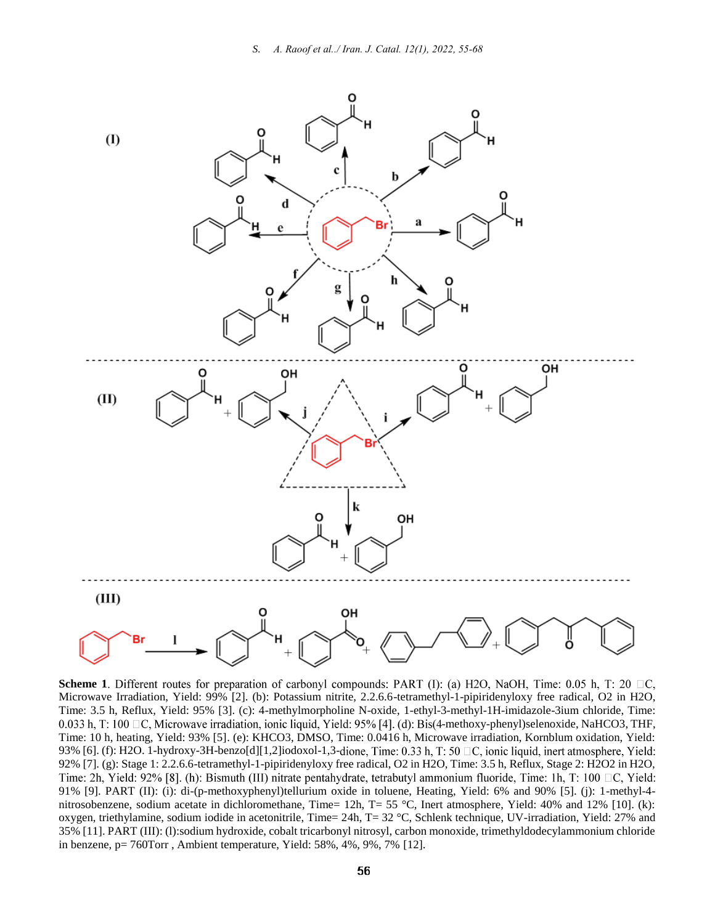

**Scheme 1**. Different routes for preparation of carbonyl compounds: PART (I): (a) H2O, NaOH, Time: 0.05 h, T: 20  $\Box$ C, Microwave Irradiation, Yield: 99% [2]. (b): Potassium nitrite, 2.2.6.6-tetramethyl-1-pipiridenyloxy free radical, O2 in H2O, Time: 3.5 h, Reflux, Yield: 95% [3]. (c): 4-methylmorpholine N-oxide, 1-ethyl-3-methyl-1H-imidazole-3ium chloride, Time: 0.033 h, T: 100  $\Box$ C, Microwave irradiation, ionic liquid, Yield: 95% [4]. (d): Bis(4-methoxy-phenyl)selenoxide, NaHCO3, THF, Time: 10 h, heating, Yield: 93% [5]. (e): KHCO3, DMSO, Time: 0.0416 h, Microwave irradiation, Kornblum oxidation, Yield: 93% [6]. (f): H2O. 1-hydroxy-3H-benzo[d][1,2]iodoxol-1,3-dione, Time: 0.33 h, T: 50  $\Box$ C, ionic liquid, inert atmosphere, Yield: 92% [7]. (g): Stage 1: 2.2.6.6-tetramethyl-1-pipiridenyloxy free radical, O2 in H2O, Time: 3.5 h, Reflux, Stage 2: H2O2 in H2O, Time: 2h, Yield: 92% [8]. (h): Bismuth (III) nitrate pentahydrate, tetrabutyl ammonium fluoride, Time: 1h, T: 100  $\Box$ C, Yield: 91% [9]. PART (II): (i): di-(p-methoxyphenyl)tellurium oxide in toluene, Heating, Yield: 6% and 90% [5]. (j): 1-methyl-4 nitrosobenzene, sodium acetate in dichloromethane, Time= 12h, T= 55 °C, Inert atmosphere, Yield: 40% and 12% [10]. (k): oxygen, triethylamine, sodium iodide in acetonitrile, Time= 24h, T= 32 °C, Schlenk technique, UV-irradiation, Yield: 27% and 35% [11]. PART (III): (l):sodium hydroxide, cobalt tricarbonyl nitrosyl, carbon monoxide, trimethyldodecylammonium chloride in benzene, p= 760Torr , Ambient temperature, Yield: 58%, 4%, 9%, 7% [12].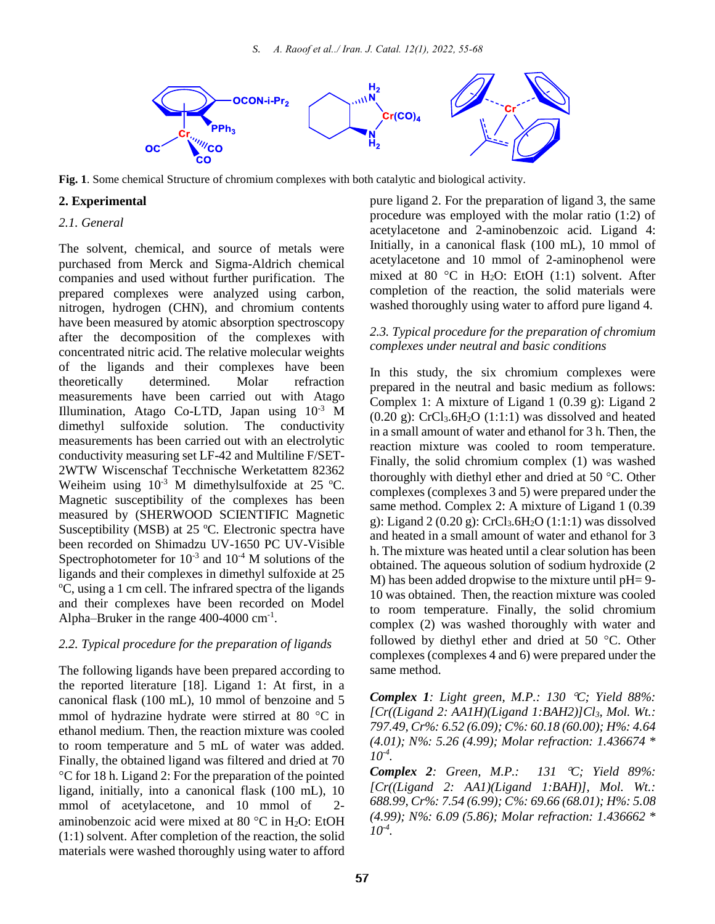

**Fig. 1**. Some chemical Structure of chromium complexes with both catalytic and biological activity.

# **2. Experimental**

#### *2.1. General*

The solvent, chemical, and source of metals were purchased from Merck and Sigma-Aldrich chemical companies and used without further purification. The prepared complexes were analyzed using carbon, nitrogen, hydrogen (CHN), and chromium contents have been measured by atomic absorption spectroscopy after the decomposition of the complexes with concentrated nitric acid. The relative molecular weights of the ligands and their complexes have been theoretically determined. Molar refraction measurements have been carried out with Atago Illumination, Atago Co-LTD, Japan using 10-3 M dimethyl sulfoxide solution. The conductivity measurements has been carried out with an electrolytic conductivity measuring set LF-42 and Multiline F/SET-2WTW Wiscenschaf Tecchnische Werketattem 82362 Weiheim using  $10^{-3}$  M dimethylsulfoxide at 25 °C. Magnetic susceptibility of the complexes has been measured by (SHERWOOD SCIENTIFIC Magnetic Susceptibility (MSB) at  $25^{\circ}$ C. Electronic spectra have been recorded on Shimadzu UV-1650 PC UV-Visible Spectrophotometer for  $10^{-3}$  and  $10^{-4}$  M solutions of the ligands and their complexes in dimethyl sulfoxide at 25 <sup>o</sup>C, using a 1 cm cell. The infrared spectra of the ligands and their complexes have been recorded on Model Alpha–Bruker in the range 400-4000 cm<sup>-1</sup>.

#### *2.2. Typical procedure for the preparation of ligands*

The following ligands have been prepared according to the reported literature [18]. Ligand 1: At first, in a canonical flask (100 mL), 10 mmol of benzoine and 5 mmol of hydrazine hydrate were stirred at 80  $^{\circ}$ C in ethanol medium. Then, the reaction mixture was cooled to room temperature and 5 mL of water was added. Finally, the obtained ligand was filtered and dried at 70 C for 18 h. Ligand 2: For the preparation of the pointed ligand, initially, into a canonical flask (100 mL), 10 mmol of acetylacetone, and 10 mmol of 2 aminobenzoic acid were mixed at 80  $^{\circ}$ C in H<sub>2</sub>O: EtOH (1:1) solvent. After completion of the reaction, the solid materials were washed thoroughly using water to afford pure ligand 2. For the preparation of ligand 3, the same procedure was employed with the molar ratio (1:2) of acetylacetone and 2-aminobenzoic acid. Ligand 4: Initially, in a canonical flask (100 mL), 10 mmol of acetylacetone and 10 mmol of 2-aminophenol were mixed at 80 °C in H<sub>2</sub>O: EtOH (1:1) solvent. After completion of the reaction, the solid materials were washed thoroughly using water to afford pure ligand 4.

#### *2.3. Typical procedure for the preparation of chromium complexes under neutral and basic conditions*

In this study, the six chromium complexes were prepared in the neutral and basic medium as follows: Complex 1: A mixture of Ligand 1 (0.39 g): Ligand 2  $(0.20 \text{ g})$ : CrCl<sub>3</sub>.6H<sub>2</sub>O (1:1:1) was dissolved and heated in a small amount of water and ethanol for 3 h. Then, the reaction mixture was cooled to room temperature. Finally, the solid chromium complex (1) was washed thoroughly with diethyl ether and dried at  $50^{\circ}$ C. Other complexes (complexes 3 and 5) were prepared under the same method. Complex 2: A mixture of Ligand 1 (0.39 g): Ligand 2 (0.20 g):  $CrCl<sub>3</sub>.6H<sub>2</sub>O$  (1:1:1) was dissolved and heated in a small amount of water and ethanol for 3 h. The mixture was heated until a clear solution has been obtained. The aqueous solution of sodium hydroxide (2 M) has been added dropwise to the mixture until pH= 9- 10 was obtained. Then, the reaction mixture was cooled to room temperature. Finally, the solid chromium complex (2) was washed thoroughly with water and followed by diethyl ether and dried at 50  $^{\circ}$ C. Other complexes (complexes 4 and 6) were prepared under the same method.

*Complex 1: Light green, M.P.: 130 C; Yield 88%: [Cr((Ligand 2: AA1H)(Ligand 1:BAH2)]Cl3, Mol. Wt.: 797.49, Cr%: 6.52 (6.09); C%: 60.18 (60.00); H%: 4.64 (4.01); N%: 5.26 (4.99); Molar refraction: 1.436674 \* 10-4 .*

*Complex 2: Green, M.P.: 131 C; Yield 89%: [Cr((Ligand 2: AA1)(Ligand 1:BAH)], Mol. Wt.: 688.99, Cr%: 7.54 (6.99); C%: 69.66 (68.01); H%: 5.08 (4.99); N%: 6.09 (5.86); Molar refraction: 1.436662 \* 10-4 .*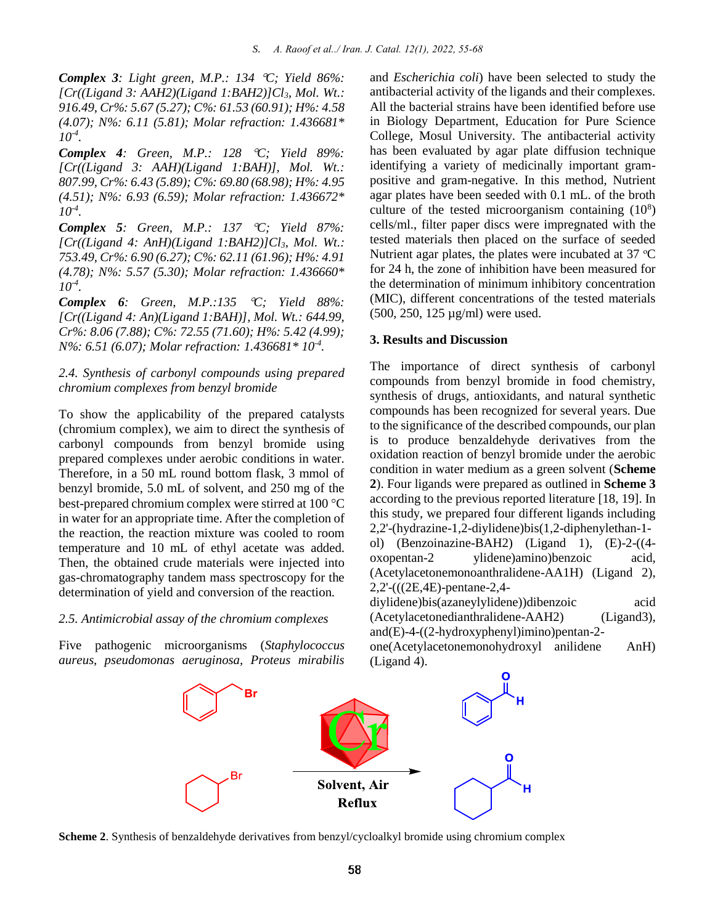*Complex 3: Light green, M.P.: 134 C; Yield 86%: [Cr((Ligand 3: AAH2)(Ligand 1:BAH2)]Cl3, Mol. Wt.: 916.49, Cr%: 5.67 (5.27); C%: 61.53 (60.91); H%: 4.58 (4.07); N%: 6.11 (5.81); Molar refraction: 1.436681\* 10-4 .*

*Complex 4: Green, M.P.: 128 C; Yield 89%: [Cr((Ligand 3: AAH)(Ligand 1:BAH)], Mol. Wt.: 807.99, Cr%: 6.43 (5.89); C%: 69.80 (68.98); H%: 4.95 (4.51); N%: 6.93 (6.59); Molar refraction: 1.436672\* 10-4 .*

*Complex 5: Green, M.P.: 137 C; Yield 87%: [Cr((Ligand 4: AnH)(Ligand 1:BAH2)]Cl3, Mol. Wt.: 753.49, Cr%: 6.90 (6.27); C%: 62.11 (61.96); H%: 4.91 (4.78); N%: 5.57 (5.30); Molar refraction: 1.436660\* 10-4 .*

*Complex 6: Green, M.P.:135 C; Yield 88%: [Cr((Ligand 4: An)(Ligand 1:BAH)], Mol. Wt.: 644.99, Cr%: 8.06 (7.88); C%: 72.55 (71.60); H%: 5.42 (4.99); N%: 6.51 (6.07); Molar refraction: 1.436681\* 10-4 .*

# *2.4. Synthesis of carbonyl compounds using prepared chromium complexes from benzyl bromide*

To show the applicability of the prepared catalysts (chromium complex), we aim to direct the synthesis of carbonyl compounds from benzyl bromide using prepared complexes under aerobic conditions in water. Therefore, in a 50 mL round bottom flask, 3 mmol of benzyl bromide, 5.0 mL of solvent, and 250 mg of the best-prepared chromium complex were stirred at 100 °C in water for an appropriate time. After the completion of the reaction, the reaction mixture was cooled to room temperature and 10 mL of ethyl acetate was added. Then, the obtained crude materials were injected into gas-chromatography tandem mass spectroscopy for the determination of yield and conversion of the reaction.

#### *2.5. Antimicrobial assay of the chromium complexes*

Five pathogenic microorganisms (*Staphylococcus aureus, pseudomonas aeruginosa, Proteus mirabilis*

and *Escherichia coli*) have been selected to study the antibacterial activity of the ligands and their complexes. All the bacterial strains have been identified before use in Biology Department, Education for Pure Science College, Mosul University. The antibacterial activity has been evaluated by agar plate diffusion technique identifying a variety of medicinally important grampositive and gram-negative. In this method, Nutrient agar plates have been seeded with 0.1 mL. of the broth culture of the tested microorganism containing  $(10^8)$ cells/ml., filter paper discs were impregnated with the tested materials then placed on the surface of seeded Nutrient agar plates, the plates were incubated at  $37 \text{ °C}$ for 24 h, the zone of inhibition have been measured for the determination of minimum inhibitory concentration (MIC), different concentrations of the tested materials (500, 250, 125 µg/ml) were used.

#### **3. Results and Discussion**

The importance of direct synthesis of carbonyl compounds from benzyl bromide in food chemistry, synthesis of drugs, antioxidants, and natural synthetic compounds has been recognized for several years. Due to the significance of the described compounds, our plan is to produce benzaldehyde derivatives from the oxidation reaction of benzyl bromide under the aerobic condition in water medium as a green solvent (**Scheme 2**). Four ligands were prepared as outlined in **Scheme 3** according to the previous reported literature [18, 19]. In this study, we prepared four different ligands including 2,2'-(hydrazine-1,2-diylidene)bis(1,2-diphenylethan-1 ol) (Benzoinazine-BAH2) (Ligand 1), (E)-2-((4 oxopentan-2 ylidene)amino)benzoic acid, (Acetylacetonemonoanthralidene-AA1H) (Ligand 2), 2,2'-(((2E,4E)-pentane-2,4-

diylidene)bis(azaneylylidene))dibenzoic acid (Acetylacetonedianthralidene-AAH2) (Ligand3), and(E)-4-((2-hydroxyphenyl)imino)pentan-2 one(Acetylacetonemonohydroxyl anilidene AnH) (Ligand 4).



**Scheme 2**. Synthesis of benzaldehyde derivatives from benzyl/cycloalkyl bromide using chromium complex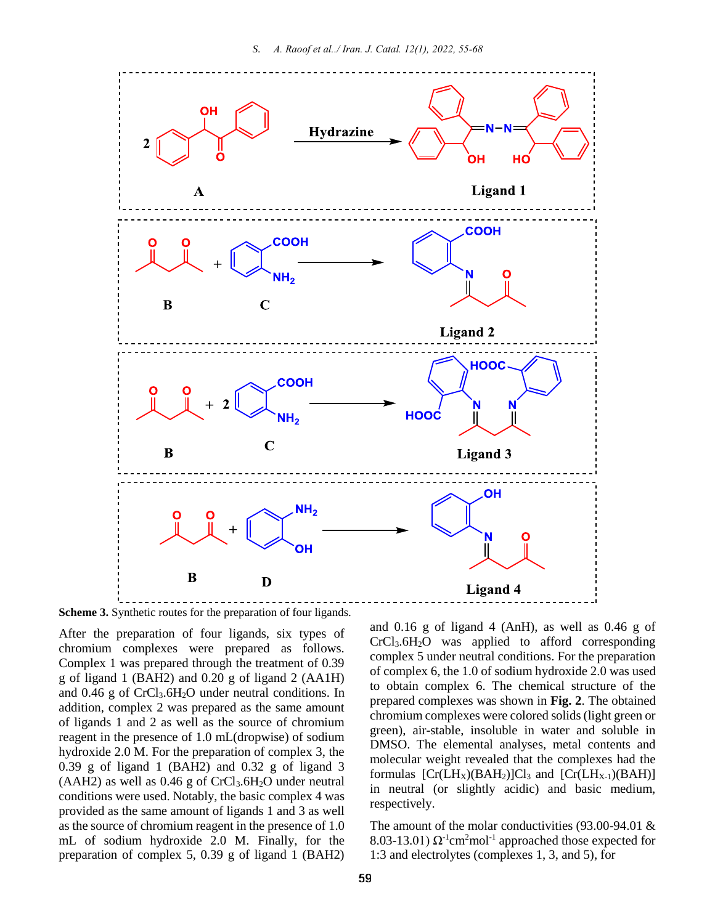

**Scheme 3.** Synthetic routes for the preparation of four ligands.

After the preparation of four ligands, six types of chromium complexes were prepared as follows. Complex 1 was prepared through the treatment of 0.39 g of ligand 1 (BAH2) and 0.20 g of ligand 2 (AA1H) and  $0.46$  g of CrCl<sub>3</sub>.6H<sub>2</sub>O under neutral conditions. In addition, complex 2 was prepared as the same amount of ligands 1 and 2 as well as the source of chromium reagent in the presence of 1.0 mL(dropwise) of sodium hydroxide 2.0 M. For the preparation of complex 3, the  $0.39$  g of ligand 1 (BAH2) and  $0.32$  g of ligand 3  $(AAH2)$  as well as 0.46 g of CrCl<sub>3</sub>.6H<sub>2</sub>O under neutral conditions were used. Notably, the basic complex 4 was provided as the same amount of ligands 1 and 3 as well as the source of chromium reagent in the presence of 1.0 mL of sodium hydroxide 2.0 M. Finally, for the preparation of complex 5, 0.39 g of ligand 1 (BAH2) and 0.16 g of ligand 4 (AnH), as well as 0.46 g of CrCl3.6H2O was applied to afford corresponding complex 5 under neutral conditions. For the preparation of complex 6, the 1.0 of sodium hydroxide 2.0 was used to obtain complex 6. The chemical structure of the prepared complexes was shown in **Fig. 2**. The obtained chromium complexes were colored solids (light green or green), air-stable, insoluble in water and soluble in DMSO. The elemental analyses, metal contents and molecular weight revealed that the complexes had the formulas  $[Cr(LH_X)(BAH_2)]Cl_3$  and  $[Cr(LH_{X-1})(BAH)]$ in neutral (or slightly acidic) and basic medium, respectively.

The amount of the molar conductivities (93.00-94.01 & 8.03-13.01)  $\Omega^{-1}$ cm<sup>2</sup>mol<sup>-1</sup> approached those expected for 1:3 and electrolytes (complexes 1, 3, and 5), for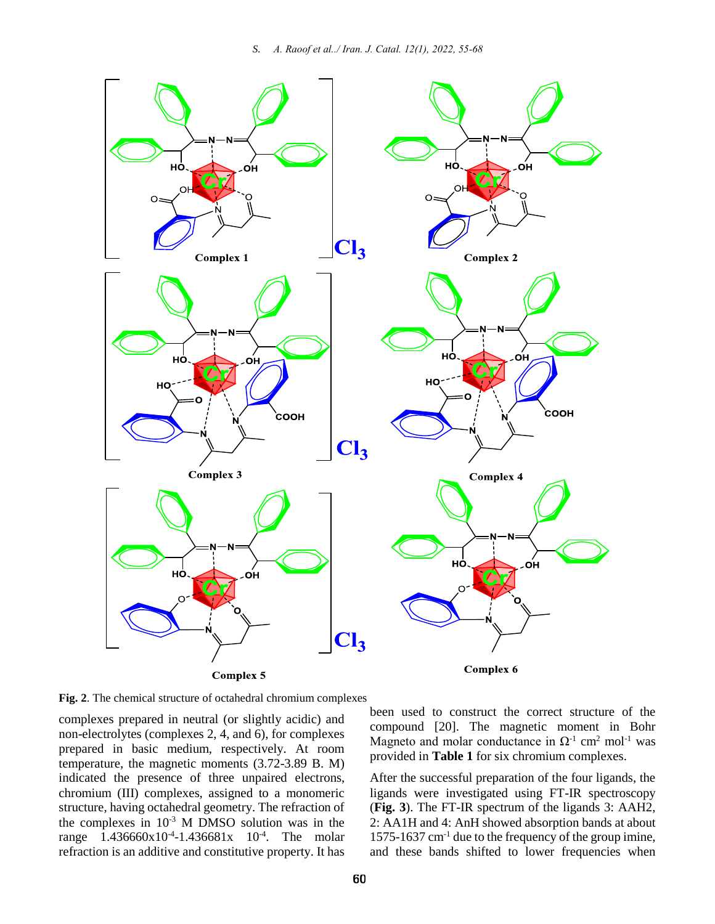

**Fig. 2**. The chemical structure of octahedral chromium complexes

complexes prepared in neutral (or slightly acidic) and non-electrolytes (complexes 2, 4, and 6), for complexes prepared in basic medium, respectively. At room temperature, the magnetic moments (3.72-3.89 B. M) indicated the presence of three unpaired electrons, chromium (III) complexes, assigned to a monomeric structure, having octahedral geometry. The refraction of the complexes in 10-3 M DMSO solution was in the range 1.436660x10<sup>-4</sup>-1.436681x 10<sup>-4</sup>. The molar refraction is an additive and constitutive property. It has

been used to construct the correct structure of the compound [20]. The magnetic moment in Bohr Magneto and molar conductance in  $\Omega$ <sup>-1</sup> cm<sup>2</sup> mol<sup>-1</sup> was provided in **Table 1** for six chromium complexes.

After the successful preparation of the four ligands, the ligands were investigated using FT-IR spectroscopy (**Fig. 3**). The FT-IR spectrum of the ligands 3: AAH2, 2: AA1H and 4: AnH showed absorption bands at about 1575-1637 cm-1 due to the frequency of the group imine, and these bands shifted to lower frequencies when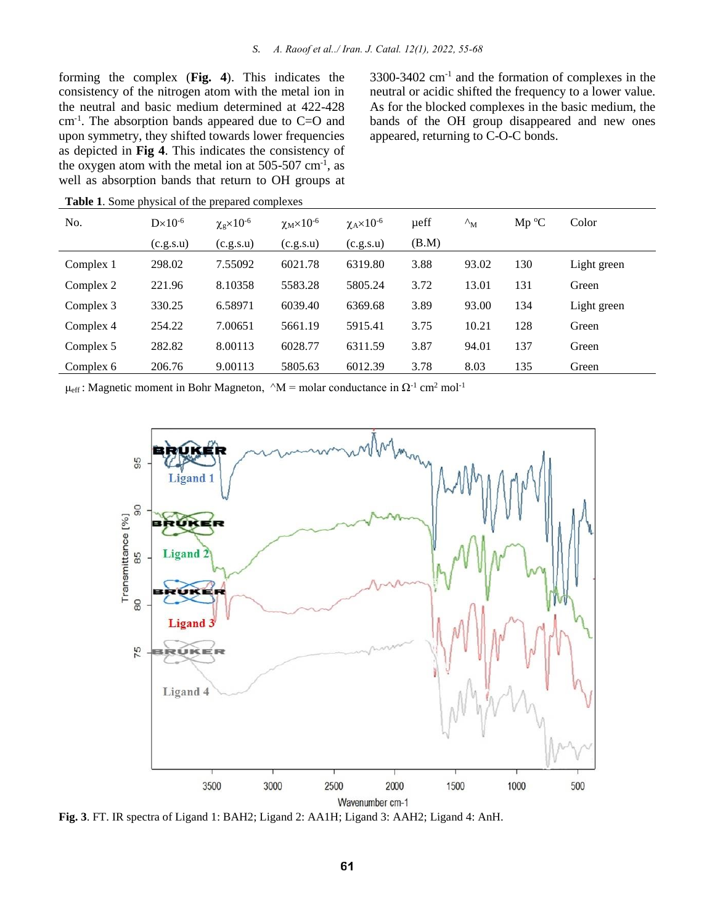forming the complex (**Fig. 4**). This indicates the consistency of the nitrogen atom with the metal ion in the neutral and basic medium determined at 422-428 cm-1 . The absorption bands appeared due to C=O and upon symmetry, they shifted towards lower frequencies as depicted in **Fig 4**. This indicates the consistency of the oxygen atom with the metal ion at  $505-507$  cm<sup>-1</sup>, as well as absorption bands that return to OH groups at

3300-3402 cm-1 and the formation of complexes in the neutral or acidic shifted the frequency to a lower value. As for the blocked complexes in the basic medium, the bands of the OH group disappeared and new ones appeared, returning to C-O-C bonds.

| No.       | $D \times 10^{-6}$ | $\chi_{\rm g} \times 10^{-6}$ | $\chi_M \times 10^{-6}$ | $\chi_{\rm A} \times 10^{-6}$ | ueff  | $\Lambda_{\rm M}$ | $Mp$ °C | Color       |
|-----------|--------------------|-------------------------------|-------------------------|-------------------------------|-------|-------------------|---------|-------------|
|           | (c.g.s.u)          | (c.g.s.u)                     | (c.g.s.u)               | (c.g.s.u)                     | (B.M) |                   |         |             |
| Complex 1 | 298.02             | 7.55092                       | 6021.78                 | 6319.80                       | 3.88  | 93.02             | 130     | Light green |
| Complex 2 | 221.96             | 8.10358                       | 5583.28                 | 5805.24                       | 3.72  | 13.01             | 131     | Green       |
| Complex 3 | 330.25             | 6.58971                       | 6039.40                 | 6369.68                       | 3.89  | 93.00             | 134     | Light green |
| Complex 4 | 254.22             | 7.00651                       | 5661.19                 | 5915.41                       | 3.75  | 10.21             | 128     | Green       |
| Complex 5 | 282.82             | 8.00113                       | 6028.77                 | 6311.59                       | 3.87  | 94.01             | 137     | Green       |
| Complex 6 | 206.76             | 9.00113                       | 5805.63                 | 6012.39                       | 3.78  | 8.03              | 135     | Green       |

**Table 1**. Some physical of the prepared complexes

 $\mu_{\text{eff}}$ : Magnetic moment in Bohr Magneton,  $\Delta M =$  molar conductance in  $\Omega$ <sup>-1</sup> cm<sup>2</sup> mol<sup>-1</sup>



**Fig. 3**. FT. IR spectra of Ligand 1: BAH2; Ligand 2: AA1H; Ligand 3: AAH2; Ligand 4: AnH.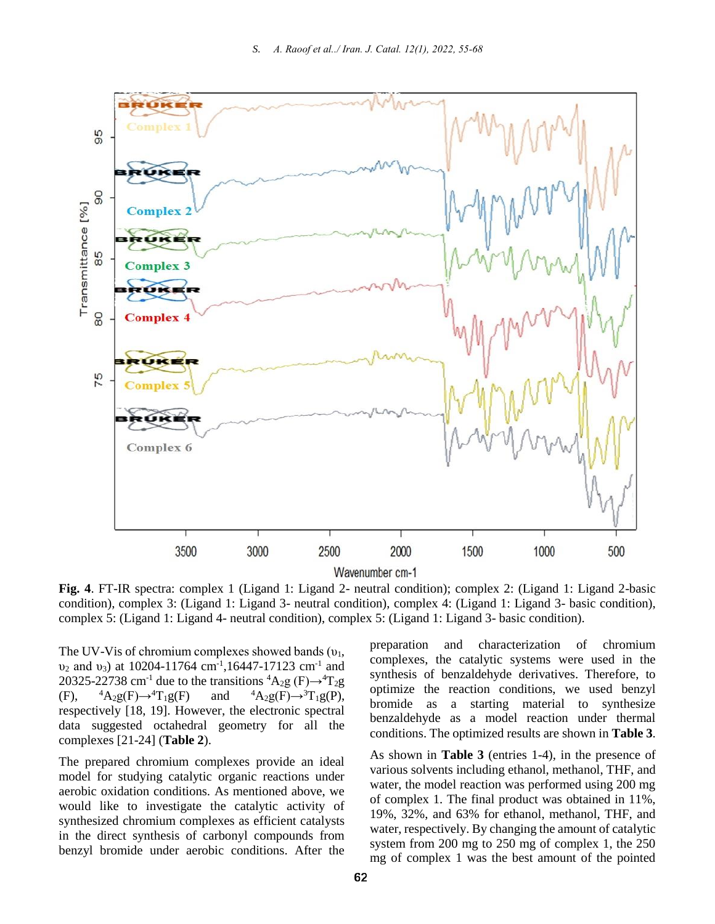

**Fig. 4**. FT-IR spectra: complex 1 (Ligand 1: Ligand 2- neutral condition); complex 2: (Ligand 1: Ligand 2-basic condition), complex 3: (Ligand 1: Ligand 3- neutral condition), complex 4: (Ligand 1: Ligand 3- basic condition), complex 5: (Ligand 1: Ligand 4- neutral condition), complex 5: (Ligand 1: Ligand 3- basic condition).

The UV-Vis of chromium complexes showed bands  $(v_1,$  $v_2$  and  $v_3$ ) at 10204-11764 cm<sup>-1</sup>,16447-17123 cm<sup>-1</sup> and 20325-22738 cm<sup>-1</sup> due to the transitions  ${}^4A_2g$  (F) $\rightarrow {}^4T_2g$  $(F)$ ,  ${}^{4}A_{2}g(F) \rightarrow {}^{4}T_{1}g(F)$  and  ${}^{4}A_{2}g(F) \rightarrow {}^{3}T_{1}g(P)$ , respectively [18, 19]. However, the electronic spectral data suggested octahedral geometry for all the complexes [21-24] (**Table 2**).

The prepared chromium complexes provide an ideal model for studying catalytic organic reactions under aerobic oxidation conditions. As mentioned above, we would like to investigate the catalytic activity of synthesized chromium complexes as efficient catalysts in the direct synthesis of carbonyl compounds from benzyl bromide under aerobic conditions. After the

preparation and characterization of chromium complexes, the catalytic systems were used in the synthesis of benzaldehyde derivatives. Therefore, to optimize the reaction conditions, we used benzyl bromide as a starting material to synthesize benzaldehyde as a model reaction under thermal conditions. The optimized results are shown in **Table 3**.

As shown in **Table 3** (entries 1-4), in the presence of various solvents including ethanol, methanol, THF, and water, the model reaction was performed using 200 mg of complex 1. The final product was obtained in 11%, 19%, 32%, and 63% for ethanol, methanol, THF, and water, respectively. By changing the amount of catalytic system from 200 mg to 250 mg of complex 1, the 250 mg of complex 1 was the best amount of the pointed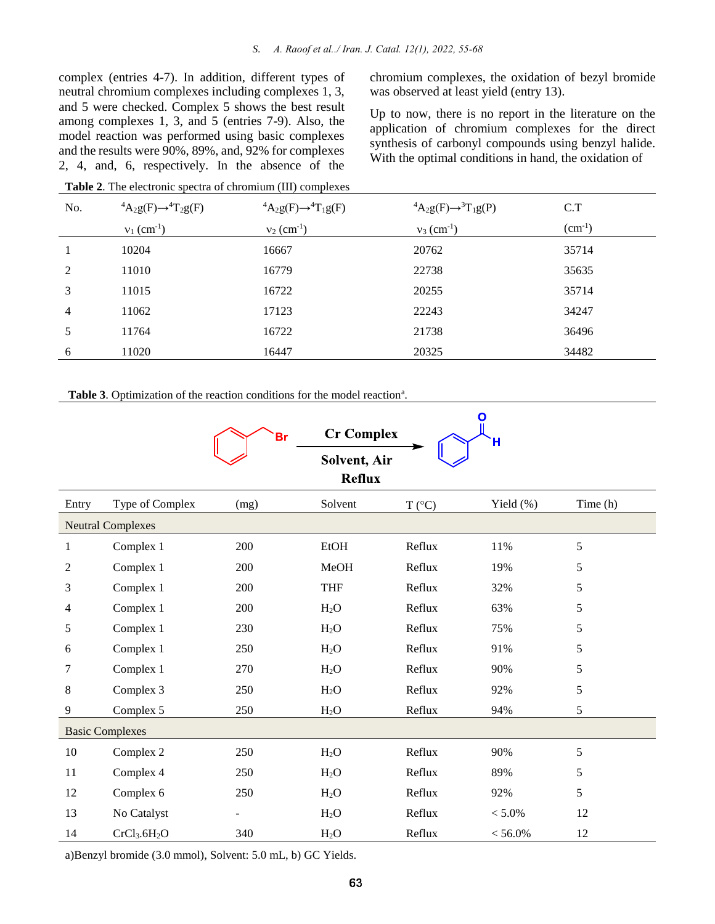complex (entries 4-7). In addition, different types of neutral chromium complexes including complexes 1, 3, and 5 were checked. Complex 5 shows the best result among complexes 1, 3, and 5 (entries 7-9). Also, the model reaction was performed using basic complexes and the results were 90%, 89%, and, 92% for complexes 2, 4, and, 6, respectively. In the absence of the chromium complexes, the oxidation of bezyl bromide was observed at least yield (entry 13).

Up to now, there is no report in the literature on the application of chromium complexes for the direct synthesis of carbonyl compounds using benzyl halide. With the optimal conditions in hand, the oxidation of

| No.            | ${}^4A_2g(F) \rightarrow {}^4T_2g(F)$ | ${}^4A_2g(F) \rightarrow {}^4T_1g(F)$ | ${}^4A_2g(F) \rightarrow {}^3T_1g(P)$ | C.T         |
|----------------|---------------------------------------|---------------------------------------|---------------------------------------|-------------|
|                | $v_1$ (cm <sup>-1</sup> )             | $v_2$ (cm <sup>-1</sup> )             | $v_3$ (cm <sup>-1</sup> )             | $(cm^{-1})$ |
|                | 10204                                 | 16667                                 | 20762                                 | 35714       |
| 2              | 11010                                 | 16779                                 | 22738                                 | 35635       |
| 3              | 11015                                 | 16722                                 | 20255                                 | 35714       |
| $\overline{4}$ | 11062                                 | 17123                                 | 22243                                 | 34247       |
| 5              | 11764                                 | 16722                                 | 21738                                 | 36496       |
| 6              | 11020                                 | 16447                                 | 20325                                 | 34482       |

**Table 2**. The electronic spectra of chromium (III) complexes

Table 3. Optimization of the reaction conditions for the model reaction<sup>a</sup>.

|       |                                      | <b>Br</b>                | <b>Cr Complex</b>             |                 | O          |          |
|-------|--------------------------------------|--------------------------|-------------------------------|-----------------|------------|----------|
|       |                                      |                          | Solvent, Air<br><b>Reflux</b> |                 |            |          |
| Entry | Type of Complex                      | (mg)                     | Solvent                       | $T (^{\circ}C)$ | Yield (%)  | Time (h) |
|       | <b>Neutral Complexes</b>             |                          |                               |                 |            |          |
| 1     | Complex 1                            | 200                      | <b>EtOH</b>                   | Reflux          | 11%        | 5        |
| 2     | Complex 1                            | 200                      | MeOH                          | Reflux          | 19%        | 5        |
| 3     | Complex 1                            | 200                      | <b>THF</b>                    | Reflux          | 32%        | 5        |
| 4     | Complex 1                            | 200                      | H <sub>2</sub> O              | Reflux          | 63%        | 5        |
| 5     | Complex 1                            | 230                      | $H_2O$                        | Reflux          | 75%        | 5        |
| 6     | Complex 1                            | 250                      | H <sub>2</sub> O              | Reflux          | 91%        | 5        |
| 7     | Complex 1                            | 270                      | H <sub>2</sub> O              | Reflux          | 90%        | 5        |
| 8     | Complex 3                            | 250                      | H <sub>2</sub> O              | Reflux          | 92%        | 5        |
| 9     | Complex 5                            | 250                      | $H_2O$                        | Reflux          | 94%        | 5        |
|       | <b>Basic Complexes</b>               |                          |                               |                 |            |          |
| 10    | Complex 2                            | 250                      | H <sub>2</sub> O              | Reflux          | 90%        | 5        |
| 11    | Complex 4                            | 250                      | H <sub>2</sub> O              | Reflux          | 89%        | 5        |
| 12    | Complex 6                            | 250                      | H <sub>2</sub> O              | Reflux          | 92%        | 5        |
| 13    | No Catalyst                          | $\overline{\phantom{a}}$ | $H_2O$                        | Reflux          | $< 5.0\%$  | 12       |
| 14    | CrCl <sub>3</sub> .6H <sub>2</sub> O | 340                      | $H_2O$                        | Reflux          | $< 56.0\%$ | 12       |

a)Benzyl bromide (3.0 mmol), Solvent: 5.0 mL, b) GC Yields.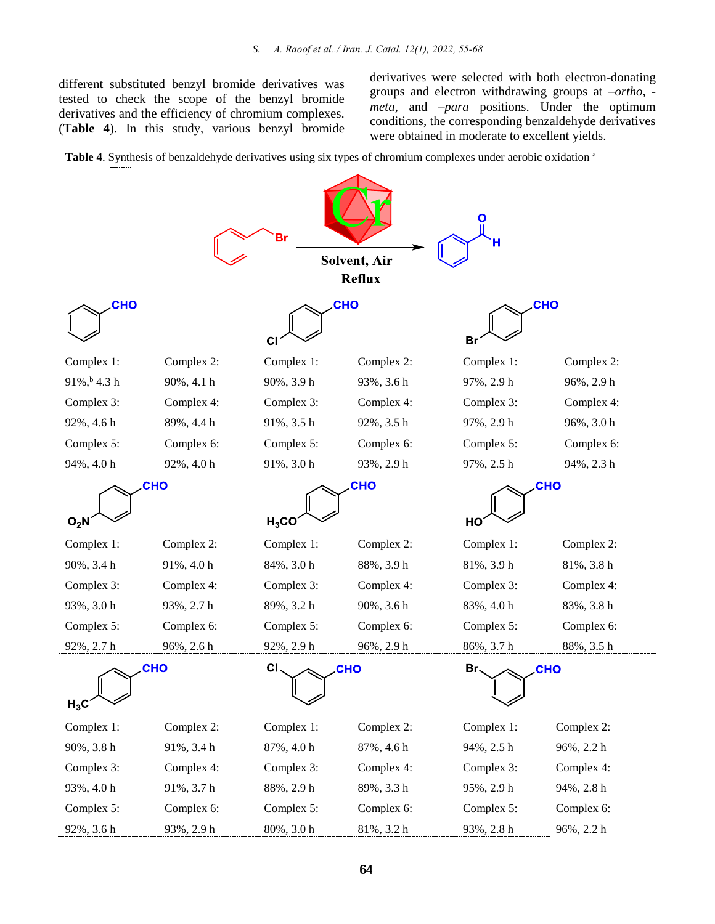different substituted benzyl bromide derivatives was tested to check the scope of the benzyl bromide derivatives and the efficiency of chromium complexes. (**Table 4**). In this study, various benzyl bromide derivatives were selected with both electron-donating groups and electron withdrawing groups at –*ortho*, *meta*, and –*para* positions. Under the optimum conditions, the corresponding benzaldehyde derivatives were obtained in moderate to excellent yields.



**Table 4**. Synthesis of benzaldehyde derivatives using six types of chromium complexes under aerobic oxidation <sup>a</sup>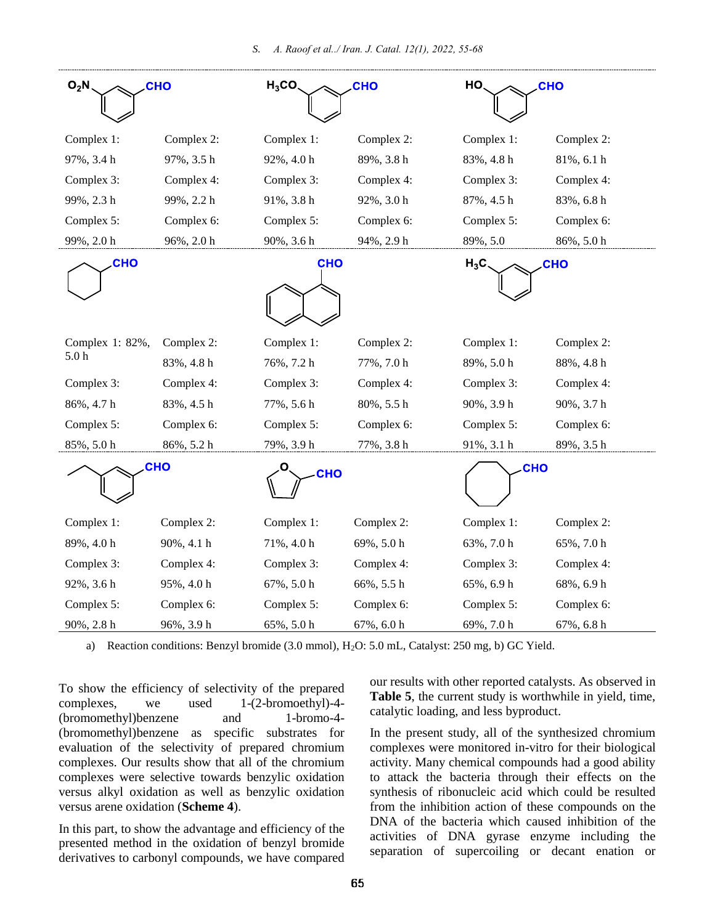| $O_2N$<br><b>CHO</b>                   |            | $H_3CO$<br>CHO |            | HO<br><b>CHO</b>     |            |  |
|----------------------------------------|------------|----------------|------------|----------------------|------------|--|
|                                        |            |                |            |                      |            |  |
| Complex 1:                             | Complex 2: | Complex 1:     | Complex 2: | Complex 1:           | Complex 2: |  |
| 97%, 3.4 h                             | 97%, 3.5 h | 92%, 4.0 h     | 89%, 3.8 h | 83%, 4.8 h           | 81%, 6.1 h |  |
| Complex 3:                             | Complex 4: | Complex 3:     | Complex 4: | Complex 3:           | Complex 4: |  |
| 99%, 2.3 h                             | 99%, 2.2 h | 91%, 3.8 h     | 92%, 3.0 h | 87%, 4.5 h           | 83%, 6.8 h |  |
| Complex 5:                             | Complex 6: | Complex 5:     | Complex 6: | Complex 5:           | Complex 6: |  |
| 99%, 2.0 h                             | 96%, 2.0 h | 90%, 3.6 h     | 94%, 2.9 h | 89%, 5.0             | 86%, 5.0 h |  |
| <b>CHO</b>                             |            | <b>CHO</b>     |            | <b>CHO</b><br>$H_3C$ |            |  |
|                                        |            |                |            |                      |            |  |
|                                        |            |                |            |                      |            |  |
|                                        |            |                |            |                      |            |  |
| Complex 1: 82%,                        | Complex 2: | Complex 1:     | Complex 2: | Complex 1:           | Complex 2: |  |
| 5.0 <sub>h</sub>                       | 83%, 4.8 h | 76%, 7.2 h     | 77%, 7.0 h | 89%, 5.0 h           | 88%, 4.8 h |  |
| Complex 3:                             | Complex 4: | Complex 3:     | Complex 4: | Complex 3:           | Complex 4: |  |
| 86%, 4.7 h                             | 83%, 4.5 h | 77%, 5.6 h     | 80%, 5.5 h | 90%, 3.9 h           | 90%, 3.7 h |  |
| Complex 5:                             | Complex 6: | Complex 5:     | Complex 6: | Complex 5:           | Complex 6: |  |
| 85%, 5.0 h                             | 86%, 5.2 h | 79%, 3.9 h     | 77%, 3.8 h | 91%, 3.1 h           | 89%, 3.5 h |  |
| <b>CHO</b><br><b>CHO</b><br><b>CHO</b> |            |                |            |                      |            |  |
|                                        |            |                |            |                      |            |  |
| Complex 1:                             | Complex 2: | Complex 1:     | Complex 2: | Complex 1:           | Complex 2: |  |
| 89%, 4.0 h                             | 90%, 4.1 h | 71%, 4.0 h     | 69%, 5.0 h | 63%, 7.0 h           | 65%, 7.0 h |  |
| Complex 3:                             | Complex 4: | Complex 3:     | Complex 4: | Complex 3:           | Complex 4: |  |
| 92%, 3.6 h                             | 95%, 4.0 h | 67%, 5.0 h     | 66%, 5.5 h | 65%, 6.9 h           | 68%, 6.9 h |  |
| Complex 5:                             | Complex 6: | Complex 5:     | Complex 6: | Complex 5:           | Complex 6: |  |
| 90%, 2.8 h                             | 96%, 3.9 h | 65%, 5.0 h     | 67%, 6.0 h | 69%, 7.0 h           | 67%, 6.8 h |  |

a) Reaction conditions: Benzyl bromide (3.0 mmol), H<sub>2</sub>O: 5.0 mL, Catalyst: 250 mg, b) GC Yield.

To show the efficiency of selectivity of the prepared complexes, we used 1-(2-bromoethyl)-4- (bromomethyl)benzene and 1-bromo-4- (bromomethyl)benzene as specific substrates for evaluation of the selectivity of prepared chromium complexes. Our results show that all of the chromium complexes were selective towards benzylic oxidation versus alkyl oxidation as well as benzylic oxidation versus arene oxidation (**Scheme 4**).

In this part, to show the advantage and efficiency of the presented method in the oxidation of benzyl bromide derivatives to carbonyl compounds, we have compared

our results with other reported catalysts. As observed in **Table 5**, the current study is worthwhile in yield, time, catalytic loading, and less byproduct.

In the present study, all of the synthesized chromium complexes were monitored in-vitro for their biological activity. Many chemical compounds had a good ability to attack the bacteria through their effects on the synthesis of ribonucleic acid which could be resulted from the inhibition action of these compounds on the DNA of the bacteria which caused inhibition of the activities of DNA gyrase enzyme including the separation of supercoiling or decant enation or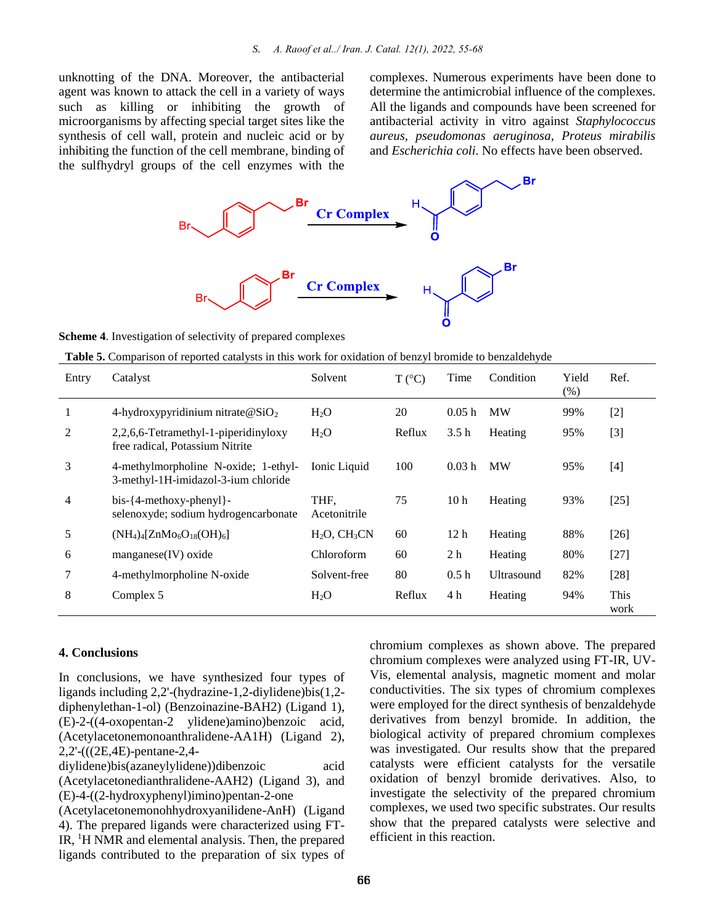unknotting of the DNA. Moreover, the antibacterial agent was known to attack the cell in a variety of ways such as killing or inhibiting the growth of microorganisms by affecting special target sites like the synthesis of cell wall, protein and nucleic acid or by inhibiting the function of the cell membrane, binding of the sulfhydryl groups of the cell enzymes with the

complexes. Numerous experiments have been done to determine the antimicrobial influence of the complexes. All the ligands and compounds have been screened for antibacterial activity in vitro against *Staphylococcus aureus, pseudomonas aeruginosa, Proteus mirabilis* and *Escherichia coli*. No effects have been observed.



**Scheme 4**. Investigation of selectivity of prepared complexes

**Table 5.** Comparison of reported catalysts in this work for oxidation of benzyl bromide to benzaldehyde

| Entry | Catalyst                                                                    | Solvent              | $T (^{\circ}C)$ | Time            | Condition  | Yield<br>(% ) | Ref.         |
|-------|-----------------------------------------------------------------------------|----------------------|-----------------|-----------------|------------|---------------|--------------|
| 1     | 4-hydroxypyridinium nitrate $@SiO2$                                         | $H_2O$               | 20              | 0.05h           | <b>MW</b>  | 99%           | $[2]$        |
| 2     | 2,2,6,6-Tetramethyl-1-piperidinyloxy<br>free radical, Potassium Nitrite     | H <sub>2</sub> O     | Reflux          | 3.5h            | Heating    | 95%           | $[3]$        |
| 3     | 4-methylmorpholine N-oxide; 1-ethyl-<br>3-methyl-1H-imidazol-3-ium chloride | Ionic Liquid         | 100             | 0.03h           | <b>MW</b>  | 95%           | $[4]$        |
| 4     | $bis - {4-methoxy-phenyl}$ -<br>selenoxyde; sodium hydrogencarbonate        | THF,<br>Acetonitrile | 75              | 10 <sub>h</sub> | Heating    | 93%           | $[25]$       |
| 5     | $(NH_4)_4[ZnMo_6O_{18}(OH)_6]$                                              | $H2O$ , $CH3CN$      | 60              | 12 <sub>h</sub> | Heating    | 88%           | $[26]$       |
| 6     | $magnese(IV)$ oxide                                                         | <b>Chloroform</b>    | 60              | 2 <sub>h</sub>  | Heating    | 80%           | $[27]$       |
| 7     | 4-methylmorpholine N-oxide                                                  | Solvent-free         | 80              | 0.5h            | Ultrasound | 82%           | $[28]$       |
| 8     | Complex 5                                                                   | $H_2O$               | Reflux          | 4 <sub>h</sub>  | Heating    | 94%           | This<br>work |

#### **4. Conclusions**

In conclusions, we have synthesized four types of ligands including 2,2'-(hydrazine-1,2-diylidene)bis(1,2 diphenylethan-1-ol) (Benzoinazine-BAH2) (Ligand 1), (E)-2-((4-oxopentan-2 ylidene)amino)benzoic acid, (Acetylacetonemonoanthralidene-AA1H) (Ligand 2), 2,2'-(((2E,4E)-pentane-2,4-

diylidene)bis(azaneylylidene))dibenzoic acid (Acetylacetonedianthralidene-AAH2) (Ligand 3), and (E)-4-((2-hydroxyphenyl)imino)pentan-2-one

(Acetylacetonemonohhydroxyanilidene-AnH) (Ligand 4). The prepared ligands were characterized using FT-IR, <sup>1</sup>H NMR and elemental analysis. Then, the prepared ligands contributed to the preparation of six types of

chromium complexes as shown above. The prepared chromium complexes were analyzed using FT-IR, UV-Vis, elemental analysis, magnetic moment and molar conductivities. The six types of chromium complexes were employed for the direct synthesis of benzaldehyde derivatives from benzyl bromide. In addition, the biological activity of prepared chromium complexes was investigated. Our results show that the prepared catalysts were efficient catalysts for the versatile oxidation of benzyl bromide derivatives. Also, to investigate the selectivity of the prepared chromium complexes, we used two specific substrates. Our results show that the prepared catalysts were selective and efficient in this reaction.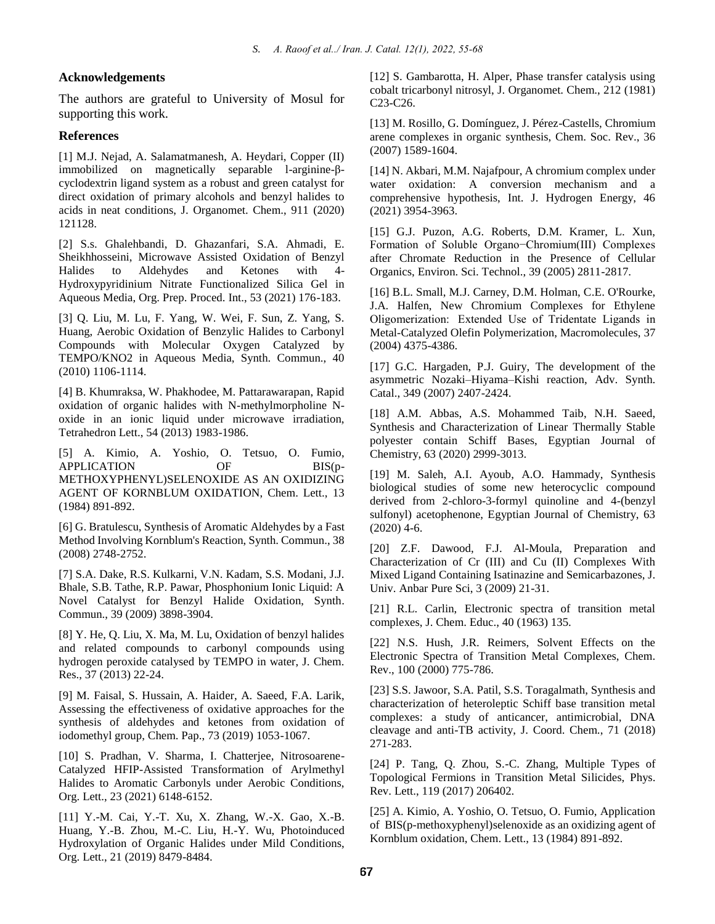#### **Acknowledgements**

The authors are grateful to University of Mosul for supporting this work.

#### **References**

[1] M.J. Nejad, A. Salamatmanesh, A. Heydari, Copper (II) immobilized on magnetically separable l-arginine-βcyclodextrin ligand system as a robust and green catalyst for direct oxidation of primary alcohols and benzyl halides to acids in neat conditions, J. Organomet. Chem., 911 (2020) 121128.

[2] S.s. Ghalehbandi, D. Ghazanfari, S.A. Ahmadi, E. Sheikhhosseini, Microwave Assisted Oxidation of Benzyl Halides to Aldehydes and Ketones with 4- Hydroxypyridinium Nitrate Functionalized Silica Gel in Aqueous Media, Org. Prep. Proced. Int., 53 (2021) 176-183.

[3] Q. Liu, M. Lu, F. Yang, W. Wei, F. Sun, Z. Yang, S. Huang, Aerobic Oxidation of Benzylic Halides to Carbonyl Compounds with Molecular Oxygen Catalyzed by TEMPO/KNO2 in Aqueous Media, Synth. Commun., 40 (2010) 1106-1114.

[4] B. Khumraksa, W. Phakhodee, M. Pattarawarapan, Rapid oxidation of organic halides with N-methylmorpholine Noxide in an ionic liquid under microwave irradiation, Tetrahedron Lett., 54 (2013) 1983-1986.

[5] A. Kimio, A. Yoshio, O. Tetsuo, O. Fumio, APPLICATION OF BIS(p-METHOXYPHENYL)SELENOXIDE AS AN OXIDIZING AGENT OF KORNBLUM OXIDATION, Chem. Lett., 13 (1984) 891-892.

[6] G. Bratulescu, Synthesis of Aromatic Aldehydes by a Fast Method Involving Kornblum's Reaction, Synth. Commun., 38 (2008) 2748-2752.

[7] S.A. Dake, R.S. Kulkarni, V.N. Kadam, S.S. Modani, J.J. Bhale, S.B. Tathe, R.P. Pawar, Phosphonium Ionic Liquid: A Novel Catalyst for Benzyl Halide Oxidation, Synth. Commun., 39 (2009) 3898-3904.

[8] Y. He, Q. Liu, X. Ma, M. Lu, Oxidation of benzyl halides and related compounds to carbonyl compounds using hydrogen peroxide catalysed by TEMPO in water, J. Chem. Res., 37 (2013) 22-24.

[9] M. Faisal, S. Hussain, A. Haider, A. Saeed, F.A. Larik, Assessing the effectiveness of oxidative approaches for the synthesis of aldehydes and ketones from oxidation of iodomethyl group, Chem. Pap., 73 (2019) 1053-1067.

[10] S. Pradhan, V. Sharma, I. Chatterjee, Nitrosoarene-Catalyzed HFIP-Assisted Transformation of Arylmethyl Halides to Aromatic Carbonyls under Aerobic Conditions, Org. Lett., 23 (2021) 6148-6152.

[11] Y.-M. Cai, Y.-T. Xu, X. Zhang, W.-X. Gao, X.-B. Huang, Y.-B. Zhou, M.-C. Liu, H.-Y. Wu, Photoinduced Hydroxylation of Organic Halides under Mild Conditions, Org. Lett., 21 (2019) 8479-8484.

[12] S. Gambarotta, H. Alper, Phase transfer catalysis using cobalt tricarbonyl nitrosyl, J. Organomet. Chem., 212 (1981) C23-C26.

[13] M. Rosillo, G. Domínguez, J. Pérez-Castells, Chromium arene complexes in organic synthesis, Chem. Soc. Rev., 36 (2007) 1589-1604.

[14] N. Akbari, M.M. Najafpour, A chromium complex under water oxidation: A conversion mechanism and a comprehensive hypothesis, Int. J. Hydrogen Energy, 46 (2021) 3954-3963.

[15] G.J. Puzon, A.G. Roberts, D.M. Kramer, L. Xun, Formation of Soluble Organo−Chromium(III) Complexes after Chromate Reduction in the Presence of Cellular Organics, Environ. Sci. Technol., 39 (2005) 2811-2817.

[16] B.L. Small, M.J. Carney, D.M. Holman, C.E. O'Rourke, J.A. Halfen, New Chromium Complexes for Ethylene Oligomerization:  Extended Use of Tridentate Ligands in Metal-Catalyzed Olefin Polymerization, Macromolecules, 37 (2004) 4375-4386.

[17] G.C. Hargaden, P.J. Guiry, The development of the asymmetric Nozaki–Hiyama–Kishi reaction, Adv. Synth. Catal., 349 (2007) 2407-2424.

[18] A.M. Abbas, A.S. Mohammed Taib, N.H. Saeed, Synthesis and Characterization of Linear Thermally Stable polyester contain Schiff Bases, Egyptian Journal of Chemistry, 63 (2020) 2999-3013.

[19] M. Saleh, A.I. Ayoub, A.O. Hammady, Synthesis biological studies of some new heterocyclic compound derived from 2-chloro-3-formyl quinoline and 4-(benzyl sulfonyl) acetophenone, Egyptian Journal of Chemistry, 63  $(2020)$  4-6.

[20] Z.F. Dawood, F.J. Al-Moula, Preparation and Characterization of Cr (III) and Cu (II) Complexes With Mixed Ligand Containing Isatinazine and Semicarbazones, J. Univ. Anbar Pure Sci, 3 (2009) 21-31.

[21] R.L. Carlin, Electronic spectra of transition metal complexes, J. Chem. Educ., 40 (1963) 135.

[22] N.S. Hush, J.R. Reimers, Solvent Effects on the Electronic Spectra of Transition Metal Complexes, Chem. Rev., 100 (2000) 775-786.

[23] S.S. Jawoor, S.A. Patil, S.S. Toragalmath, Synthesis and characterization of heteroleptic Schiff base transition metal complexes: a study of anticancer, antimicrobial, DNA cleavage and anti-TB activity, J. Coord. Chem., 71 (2018) 271-283.

[24] P. Tang, Q. Zhou, S.-C. Zhang, Multiple Types of Topological Fermions in Transition Metal Silicides, Phys. Rev. Lett., 119 (2017) 206402.

[25] A. Kimio, A. Yoshio, O. Tetsuo, O. Fumio, Application of BIS(p-methoxyphenyl)selenoxide as an oxidizing agent of Kornblum oxidation, Chem. Lett., 13 (1984) 891-892.